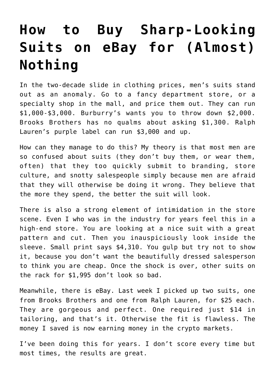# **[How to Buy Sharp-Looking](https://intellectualtakeout.org/2017/08/how-to-buy-sharp-looking-suits-on-ebay-for-almost-nothing/) [Suits on eBay for \(Almost\)](https://intellectualtakeout.org/2017/08/how-to-buy-sharp-looking-suits-on-ebay-for-almost-nothing/) [Nothing](https://intellectualtakeout.org/2017/08/how-to-buy-sharp-looking-suits-on-ebay-for-almost-nothing/)**

In the two-decade slide in clothing prices, men's suits stand out as an anomaly. Go to a fancy department store, or a specialty shop in the mall, and price them out. They can run \$1,000-\$3,000. Burburry's wants you to throw down \$2,000. Brooks Brothers has no qualms about asking \$1,300. Ralph Lauren's purple label can run \$3,000 and up.

How can they manage to do this? My theory is that most men are so confused about suits (they don't buy them, or wear them, often) that they too quickly submit to branding, store culture, and snotty salespeople simply because men are afraid that they will otherwise be doing it wrong. They believe that the more they spend, the better the suit will look.

There is also a strong element of intimidation in the store scene. Even I who was in the industry for years feel this in a high-end store. You are looking at a nice suit with a great pattern and cut. Then you inauspiciously look inside the sleeve. Small print says \$4,310. You gulp but try not to show it, because you don't want the beautifully dressed salesperson to think you are cheap. Once the shock is over, other suits on the rack for \$1,995 don't look so bad.

Meanwhile, there is eBay. Last week I picked up two suits, one from Brooks Brothers and one from Ralph Lauren, for \$25 each. They are gorgeous and perfect. One required just \$14 in tailoring, and that's it. Otherwise the fit is flawless. The money I saved is now earning money in the crypto markets.

I've been doing this for years. I don't score every time but most times, the results are great.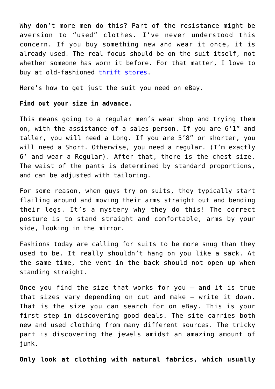Why don't more men do this? Part of the resistance might be aversion to "used" clothes. I've never understood this concern. If you buy something new and wear it once, it is already used. The real focus should be on the suit itself, not whether someone has worn it before. For that matter, I love to buy at old-fashioned [thrift stores.](https://fee.org/articles/be-the-master-of-the-thrift-store/)

Here's how to get just the suit you need on eBay.

## **Find out your size in advance.**

This means going to a regular men's wear shop and trying them on, with the assistance of a sales person. If you are 6'1" and taller, you will need a Long. If you are 5'8" or shorter, you will need a Short. Otherwise, you need a regular. (I'm exactly 6' and wear a Regular). After that, there is the chest size. The waist of the pants is determined by standard proportions, and can be adjusted with tailoring.

For some reason, when guys try on suits, they typically start flailing around and moving their arms straight out and bending their legs. It's a mystery why they do this! The correct posture is to stand straight and comfortable, arms by your side, looking in the mirror.

Fashions today are calling for suits to be more snug than they used to be. It really shouldn't hang on you like a sack. At the same time, the vent in the back should not open up when standing straight.

Once you find the size that works for you – and it is true that sizes vary depending on cut and make – write it down. That is the size you can search for on eBay. This is your first step in discovering good deals. The site carries both new and used clothing from many different sources. The tricky part is discovering the jewels amidst an amazing amount of junk.

**Only look at clothing with natural fabrics, which usually**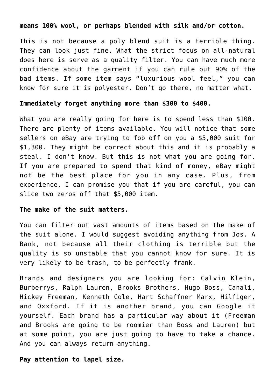### **means 100% wool, or perhaps blended with silk and/or cotton.**

This is not because a poly blend suit is a terrible thing. They can look just fine. What the strict focus on all-natural does here is serve as a quality filter. You can have much more confidence about the garment if you can rule out 90% of the bad items. If some item says "luxurious wool feel," you can know for sure it is polyester. Don't go there, no matter what.

#### **Immediately forget anything more than \$300 to \$400.**

What you are really going for here is to spend less than \$100. There are plenty of items available. You will notice that some sellers on eBay are trying to fob off on you a \$5,000 suit for \$1,300. They might be correct about this and it is probably a steal. I don't know. But this is not what you are going for. If you are prepared to spend that kind of money, eBay might not be the best place for you in any case. Plus, from experience, I can promise you that if you are careful, you can slice two zeros off that \$5,000 item.

#### **The make of the suit matters.**

You can filter out vast amounts of items based on the make of the suit alone. I would suggest avoiding anything from Jos. A Bank, not because all their clothing is terrible but the quality is so unstable that you cannot know for sure. It is very likely to be trash, to be perfectly frank.

Brands and designers you are looking for: Calvin Klein, Burberrys, Ralph Lauren, Brooks Brothers, Hugo Boss, Canali, Hickey Freeman, Kenneth Cole, Hart Schaffner Marx, Hilfiger, and Oxxford. If it is another brand, you can Google it yourself. Each brand has a particular way about it (Freeman and Brooks are going to be roomier than Boss and Lauren) but at some point, you are just going to have to take a chance. And you can always return anything.

**Pay attention to lapel size.**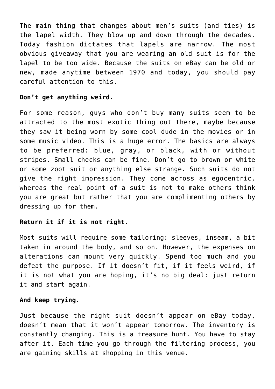The main thing that changes about men's suits (and ties) is the lapel width. They blow up and down through the decades. Today fashion dictates that lapels are narrow. The most obvious giveaway that you are wearing an old suit is for the lapel to be too wide. Because the suits on eBay can be old or new, made anytime between 1970 and today, you should pay careful attention to this.

# **Don't get anything weird.**

For some reason, guys who don't buy many suits seem to be attracted to the most exotic thing out there, maybe because they saw it being worn by some cool dude in the movies or in some music video. This is a huge error. The basics are always to be preferred: blue, gray, or black, with or without stripes. Small checks can be fine. Don't go to brown or white or some zoot suit or anything else strange. Such suits do not give the right impression. They come across as egocentric, whereas the real point of a suit is not to make others think you are great but rather that you are complimenting others by dressing up for them.

# **Return it if it is not right.**

Most suits will require some tailoring: sleeves, inseam, a bit taken in around the body, and so on. However, the expenses on alterations can mount very quickly. Spend too much and you defeat the purpose. If it doesn't fit, if it feels weird, if it is not what you are hoping, it's no big deal: just return it and start again.

## **And keep trying.**

Just because the right suit doesn't appear on eBay today, doesn't mean that it won't appear tomorrow. The inventory is constantly changing. This is a treasure hunt. You have to stay after it. Each time you go through the filtering process, you are gaining skills at shopping in this venue.